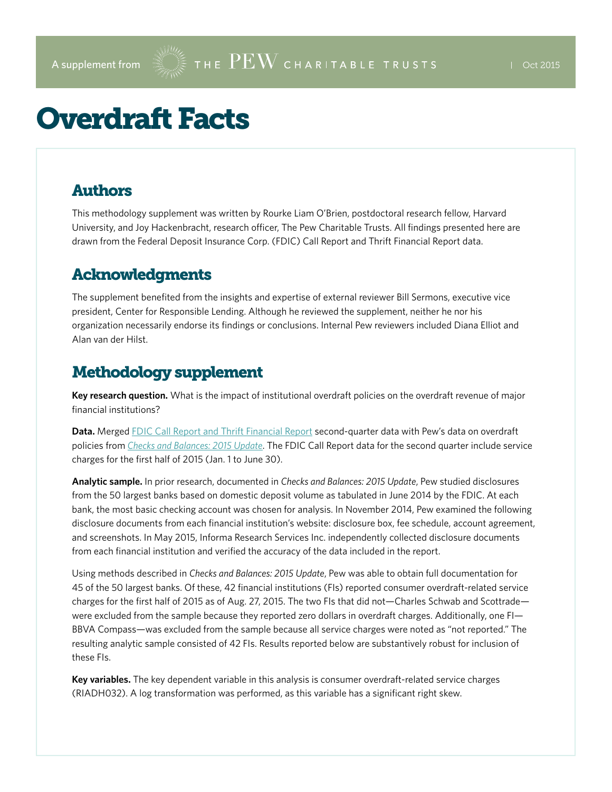# Overdraft Facts

#### Authors

This methodology supplement was written by Rourke Liam O'Brien, postdoctoral research fellow, Harvard University, and Joy Hackenbracht, research officer, The Pew Charitable Trusts. All findings presented here are drawn from the Federal Deposit Insurance Corp. (FDIC) Call Report and Thrift Financial Report data.

#### Acknowledgments

The supplement benefited from the insights and expertise of external reviewer Bill Sermons, executive vice president, Center for Responsible Lending. Although he reviewed the supplement, neither he nor his organization necessarily endorse its findings or conclusions. Internal Pew reviewers included Diana Elliot and Alan van der Hilst.

### Methodology supplement

**Key research question.** What is the impact of institutional overdraft policies on the overdraft revenue of major financial institutions?

**Data.** Merged [FDIC Call Report and Thrift Financial Report](https://cdr.ffiec.gov/public/) second-quarter data with Pew's data on overdraft policies from *[Checks and Balances: 2015 Update](http://www.pewtrusts.org/~/media/Assets/2015/05/Checks_and_Balances_Report_FINAL.pdf)*. The FDIC Call Report data for the second quarter include service charges for the first half of 2015 (Jan. 1 to June 30).

**Analytic sample.** In prior research, documented in *Checks and Balances: 2015 Update*, Pew studied disclosures from the 50 largest banks based on domestic deposit volume as tabulated in June 2014 by the FDIC. At each bank, the most basic checking account was chosen for analysis. In November 2014, Pew examined the following disclosure documents from each financial institution's website: disclosure box, fee schedule, account agreement, and screenshots. In May 2015, Informa Research Services Inc. independently collected disclosure documents from each financial institution and verified the accuracy of the data included in the report.

Using methods described in *Checks and Balances: 2015 Update*, Pew was able to obtain full documentation for 45 of the 50 largest banks. Of these, 42 financial institutions (FIs) reported consumer overdraft-related service charges for the first half of 2015 as of Aug. 27, 2015. The two FIs that did not—Charles Schwab and Scottrade were excluded from the sample because they reported zero dollars in overdraft charges. Additionally, one FI— BBVA Compass—was excluded from the sample because all service charges were noted as "not reported." The resulting analytic sample consisted of 42 FIs. Results reported below are substantively robust for inclusion of these FIs.

**Key variables.** The key dependent variable in this analysis is consumer overdraft-related service charges (RIADH032). A log transformation was performed, as this variable has a significant right skew.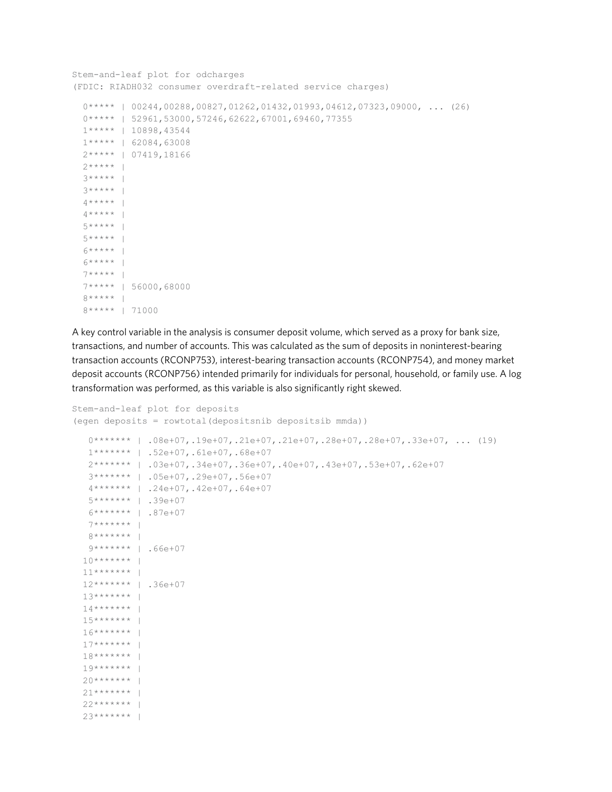```
Stem-and-leaf plot for odcharges
(FDIC: RIADH032 consumer overdraft-related service charges)
  0***** | 00244,00288,00827,01262,01432,01993,04612,07323,09000, ... (26)
   0***** | 52961,53000,57246,62622,67001,69460,77355
   1***** | 10898,43544
   1***** | 62084,63008
   2***** | 07419,18166
  2****** |
  3***** |
   3***** | 
  4****** |
  4****** |
   5***** | 
  5***** | 
  6****** |
  6****** |
   7***** | 
   7***** | 56000,68000
   8***** | 
   8***** | 71000
```
A key control variable in the analysis is consumer deposit volume, which served as a proxy for bank size, transactions, and number of accounts. This was calculated as the sum of deposits in noninterest-bearing transaction accounts (RCONP753), interest-bearing transaction accounts (RCONP754), and money market deposit accounts (RCONP756) intended primarily for individuals for personal, household, or family use. A log transformation was performed, as this variable is also significantly right skewed.

```
Stem-and-leaf plot for deposits
(egen deposits = rowtotal(depositsnib depositsib mmda))
    0******* | .08e+07,.19e+07,.21e+07,.21e+07,.28e+07,.28e+07,.33e+07, ... (19)
   1******* | .52e+07,.61e+07,.68e+07
    2******* | .03e+07,.34e+07,.36e+07,.40e+07,.43e+07,.53e+07,.62e+07
    3******* | .05e+07,.29e+07,.56e+07
    4******* | .24e+07,.42e+07,.64e+07
    5******* | .39e+07
    6******* | .87e+07
   7******* | 
  8******** |
   9******* | .66e+07
  10******** |
  11******** |
   12******* | .36e+07
  13******** |
 14****** |
 15****** |
 16******* |
  17****** |
  18******* | 
 19******** |
  20******** |
  21****** |
  22******** |
  23******** |
```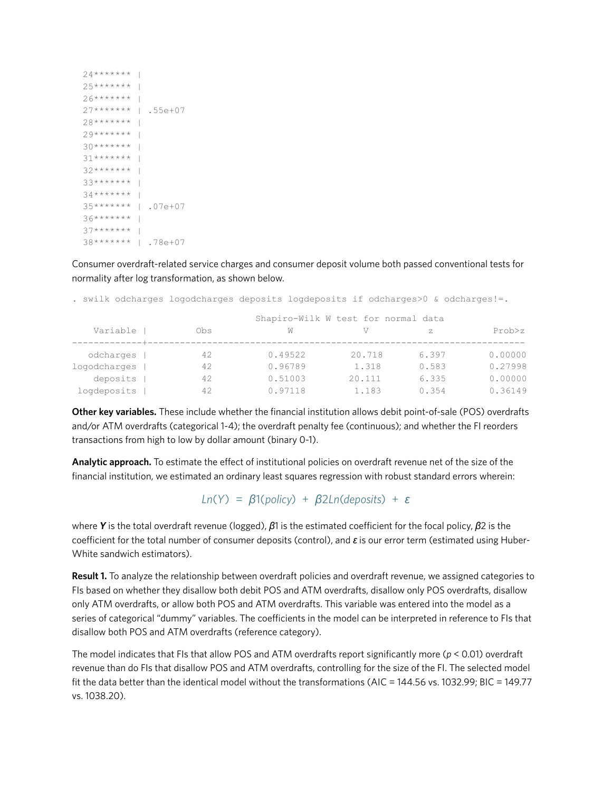```
24******** |
25******** |
26******** |
 27******* | .55e+07
28******** |
29******** |
30******** |
31******* |
32******** |
33******** |
34****** |
 35******* | .07e+07
36******** |
37****** |
 38******* | .78e+07
```
Consumer overdraft-related service charges and consumer deposit volume both passed conventional tests for normality after log transformation, as shown below.

|              |          |                                     | . swilk odcharges logodcharges deposits logdeposits if odcharges>0 & odcharges!=. |        |       |          |  |  |  |
|--------------|----------|-------------------------------------|-----------------------------------------------------------------------------------|--------|-------|----------|--|--|--|
|              |          | Shapiro-Wilk W test for normal data |                                                                                   |        |       |          |  |  |  |
|              | Variable | Obs                                 | W                                                                                 | V      | Z.    | Prob > z |  |  |  |
|              |          |                                     |                                                                                   |        |       |          |  |  |  |
| odcharges    |          | 42                                  | 0.49522                                                                           | 20.718 | 6.397 | 0.00000  |  |  |  |
| logodcharges |          | 42                                  | 0.96789                                                                           | 1.318  | 0.583 | 0.27998  |  |  |  |
|              | deposits | 42                                  | 0.51003                                                                           | 20.111 | 6.335 | 0.00000  |  |  |  |
| logdeposits  |          | 42                                  | 0.97118                                                                           | 1.183  | 0.354 | 0.36149  |  |  |  |

**Other key variables.** These include whether the financial institution allows debit point-of-sale (POS) overdrafts and/or ATM overdrafts (categorical 1-4); the overdraft penalty fee (continuous); and whether the FI reorders transactions from high to low by dollar amount (binary 0-1).

**Analytic approach.** To estimate the effect of institutional policies on overdraft revenue net of the size of the financial institution, we estimated an ordinary least squares regression with robust standard errors wherein:

*Ln*(*Y*) = *β*1(*policy*) + *β*2*Ln*(*deposits*) + *ԑ*

where *Y* is the total overdraft revenue (logged), *β*1 is the estimated coefficient for the focal policy, *β*2 is the coefficient for the total number of consumer deposits (control), and *ԑ* is our error term (estimated using Huber-White sandwich estimators).

**Result 1.** To analyze the relationship between overdraft policies and overdraft revenue, we assigned categories to FIs based on whether they disallow both debit POS and ATM overdrafts, disallow only POS overdrafts, disallow only ATM overdrafts, or allow both POS and ATM overdrafts. This variable was entered into the model as a series of categorical "dummy" variables. The coefficients in the model can be interpreted in reference to FIs that disallow both POS and ATM overdrafts (reference category).

The model indicates that FIs that allow POS and ATM overdrafts report significantly more (*p* < 0.01) overdraft revenue than do FIs that disallow POS and ATM overdrafts, controlling for the size of the FI. The selected model fit the data better than the identical model without the transformations (AIC = 144.56 vs. 1032.99; BIC = 149.77 vs. 1038.20).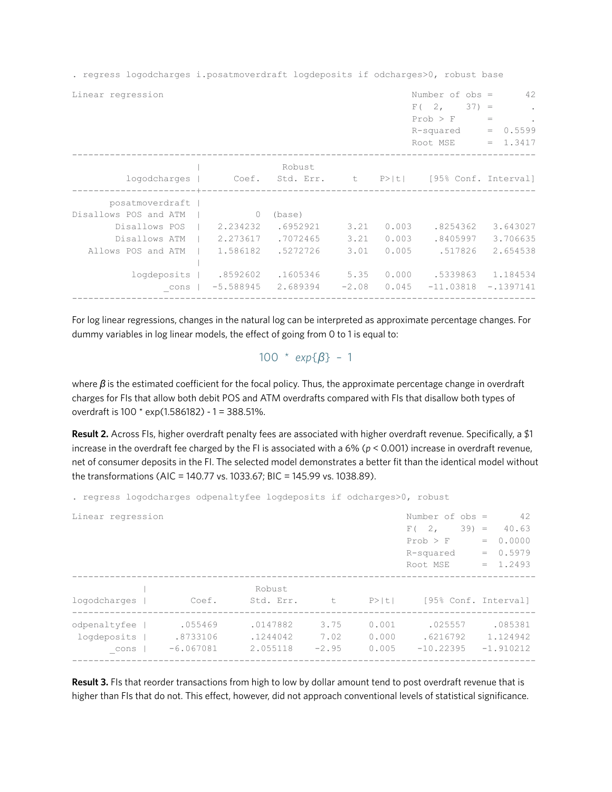. regress logodcharges i.posatmoverdraft logdeposits if odcharges>0, robust base

|                                                                                                                              |                                                                  |                                                                    |                                         |                                           | F(2, 2)<br>$37) =$<br>Prob > F<br>R-squared<br>Root MSE     | $\epsilon$<br>$=$<br>$\epsilon$<br>0.5599<br>$=$<br>1.3417  |
|------------------------------------------------------------------------------------------------------------------------------|------------------------------------------------------------------|--------------------------------------------------------------------|-----------------------------------------|-------------------------------------------|-------------------------------------------------------------|-------------------------------------------------------------|
|                                                                                                                              |                                                                  | Robust                                                             |                                         |                                           | logodcharges   Coef. Std. Err. t P> t  [95% Conf. Interval] |                                                             |
| posatmoverdraft  <br>Disallows POS and ATM<br>Disallows POS<br>Disallows ATM<br>Allows POS and ATM<br>logdeposits  <br>_cons | 0<br>2.234232<br>2.273617<br>1.586182<br>.8592602<br>$-5.588945$ | (base)<br>.6952921<br>.7072465<br>.5272726<br>.1605346<br>2.689394 | 3.21<br>3.21<br>3.01<br>5.35<br>$-2.08$ | 0.003<br>0.003<br>0.005<br>0.000<br>0.045 | .8254362<br>.8405997<br>.517826<br>.5339863<br>$-11.03818$  | 3.643027<br>3.706635<br>2.654538<br>1.184534<br>$-.1397141$ |

For log linear regressions, changes in the natural log can be interpreted as approximate percentage changes. For dummy variables in log linear models, the effect of going from 0 to 1 is equal to:

100 \* *exp*{*β*} – 1

where **β** is the estimated coefficient for the focal policy. Thus, the approximate percentage change in overdraft charges for FIs that allow both debit POS and ATM overdrafts compared with FIs that disallow both types of overdraft is 100 \* exp(1.586182) - 1 = 388.51%.

**Result 2.** Across FIs, higher overdraft penalty fees are associated with higher overdraft revenue. Specifically, a \$1 increase in the overdraft fee charged by the FI is associated with a 6% (*p* < 0.001) increase in overdraft revenue, net of consumer deposits in the FI. The selected model demonstrates a better fit than the identical model without the transformations (AIC = 140.77 vs. 1033.67; BIC = 145.99 vs. 1038.89).

. regress logodcharges odpenaltyfee logdeposits if odcharges>0, robust

| Number of $obs =$<br>Linear regression |  |             |  |           |         |   |       |             |        |     | 42                   |
|----------------------------------------|--|-------------|--|-----------|---------|---|-------|-------------|--------|-----|----------------------|
|                                        |  |             |  |           |         |   |       | F(2,        | $39 =$ |     | 40.63                |
|                                        |  |             |  |           |         |   |       | Prob > F    |        | $=$ | 0.0000               |
|                                        |  |             |  |           |         |   |       | R-squared   |        | $=$ | 0.5979               |
|                                        |  |             |  |           |         |   |       | Root MSE    |        | $=$ | 1.2493               |
|                                        |  |             |  | Robust    |         |   |       |             |        |     |                      |
| logodcharges                           |  | Coef.       |  | Std. Err. |         | t | P>  t |             |        |     | [95% Conf. Interval] |
| odpenaltyfee                           |  | .055469     |  | .0147882  | 3.75    |   | 0.001 | .025557     |        |     | .085381              |
| logdeposits                            |  | .8733106    |  | .1244042  | 7.02    |   | 0.000 | .6216792    |        |     | 1.124942             |
| cons                                   |  | $-6.067081$ |  | 2.055118  | $-2.95$ |   | 0.005 | $-10.22395$ |        |     | $-1.910212$          |
|                                        |  |             |  |           |         |   |       |             |        |     |                      |

**Result 3.** FIs that reorder transactions from high to low by dollar amount tend to post overdraft revenue that is higher than FIs that do not. This effect, however, did not approach conventional levels of statistical significance.